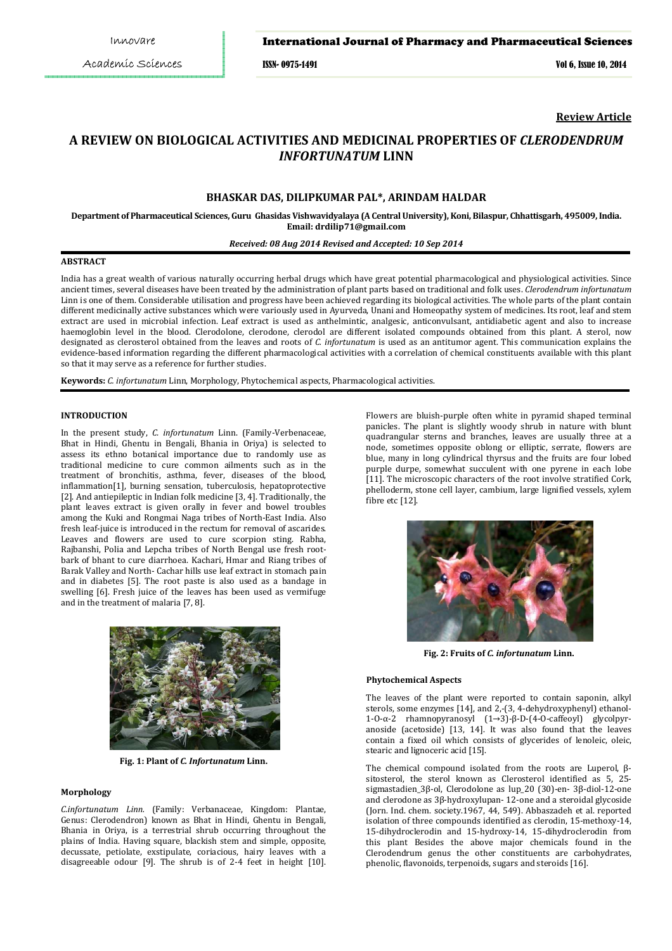## International Journal of Pharmacy and Pharmaceutical Sciences

ISSN- 0975-1491 Vol 6, Issue 10, 2014

**Review Article**

# **A REVIEW ON BIOLOGICAL ACTIVITIES AND MEDICINAL PROPERTIES OF** *CLERODENDRUM INFORTUNATUM* **LINN**

## **BHASKAR DAS, DILIPKUMAR PAL\*, ARINDAM HALDAR**

**Department of Pharmaceutical Sciences, Guru Ghasidas Vishwavidyalaya (A Central University), Koni, Bilaspur, Chhattisgarh, 495009, India. Email: drdilip71@gmail.com** 

## *Received: 08 Aug 2014 Revised and Accepted: 10 Sep 2014*

## **ABSTRACT**

India has a great wealth of various naturally occurring herbal drugs which have great potential pharmacological and physiological activities. Since ancient times, several diseases have been treated by the administration of plant parts based on traditional and folk uses. *Clerodendrum infortunatum*  Linn is one of them. Considerable utilisation and progress have been achieved regarding its biological activities. The whole parts of the plant contain different medicinally active substances which were variously used in Ayurveda, Unani and Homeopathy system of medicines. Its root, leaf and stem extract are used in microbial infection. Leaf extract is used as anthelmintic, analgesic, anticonvulsant, antidiabetic agent and also to increase haemoglobin level in the blood. Clerodolone, clerodone, clerodol are different isolated compounds obtained from this plant. A sterol, now designated as clerosterol obtained from the leaves and roots of *C. infortunatum* is used as an antitumor agent. This communication explains the evidence-based information regarding the different pharmacological activities with a correlation of chemical constituents available with this plant so that it may serve as a reference for further studies.

**Keywords:** *C. infortunatum* Linn, Morphology, Phytochemical aspects, Pharmacological activities.

## **INTRODUCTION**

In the present study, *C. infortunatum* Linn. (Family-Verbenaceae, Bhat in Hindi, Ghentu in Bengali, Bhania in Oriya) is selected to assess its ethno botanical importance due to randomly use as traditional medicine to cure common ailments such as in the treatment of bronchitis, asthma, fever, diseases of the blood, inflammation[1], burning sensation, tuberculosis, hepatoprotective [2]. And antiepileptic in Indian folk medicine [3, 4]. Traditionally, the plant leaves extract is given orally in fever and bowel troubles among the Kuki and Rongmai Naga tribes of North-East India. Also fresh leaf-juice is introduced in the rectum for removal of ascarides. Leaves and flowers are used to cure scorpion sting. Rabha, Rajbanshi, Polia and Lepcha tribes of North Bengal use fresh rootbark of bhant to cure diarrhoea. Kachari, Hmar and Riang tribes of Barak Valley and North- Cachar hills use leaf extract in stomach pain and in diabetes [5]. The root paste is also used as a bandage in swelling [6]. Fresh juice of the leaves has been used as vermifuge and in the treatment of malaria [7, 8].



**Fig. 1: Plant of** *C. Infortunatum* **Linn.** 

## **Morphology**

*C.infortunatum Linn.* (Family: Verbanaceae, Kingdom: Plantae, Genus: Clerodendron) known as Bhat in Hindi, Ghentu in Bengali, Bhania in Oriya, is a terrestrial shrub occurring throughout the plains of India. Having square, blackish stem and simple, opposite, decussate, petiolate, exstipulate, coriacious, hairy leaves with a disagreeable odour [9]. The shrub is of 2-4 feet in height [10].

Flowers are bluish-purple often white in pyramid shaped terminal panicles. The plant is slightly woody shrub in nature with blunt quadrangular sterns and branches, leaves are usually three at a node, sometimes opposite oblong or elliptic, serrate, flowers are blue, many in long cylindrical thyrsus and the fruits are four lobed purple durpe, somewhat succulent with one pyrene in each lobe [11]. The microscopic characters of the root involve stratified Cork, phelloderm, stone cell layer, cambium, large lignified vessels, xylem fibre etc [12].



**Fig. 2: Fruits of** *C. infortunatum* **Linn.** 

#### **Phytochemical Aspects**

The leaves of the plant were reported to contain saponin, alkyl sterols, some enzymes [14], and 2,-(3, 4-dehydroxyphenyl) ethanol-1-O-α-2 rhamnopyranosyl (1→3)-β-D-(4-O-caffeoyl) glycolpyranoside (acetoside) [13, 14]. It was also found that the leaves contain a fixed oil which consists of glycerides of lenoleic, oleic, stearic and lignoceric acid [15].

The chemical compound isolated from the roots are Luperol, βsitosterol, the sterol known as Clerosterol identified as 5, 25 sigmastadien\_3β-ol, Clerodolone as lup\_20 (30)-en- 3β-diol-12-one and clerodone as 3β-hydroxylupan- 12-one and a steroidal glycoside (Jorn. Ind. chem. society.1967, 44, 549). Abbaszadeh et al. reported isolation of three compounds identified as clerodin, 15-methoxy-14, 15-dihydroclerodin and 15-hydroxy-14, 15-dihydroclerodin from this plant Besides the above major chemicals found in the Clerodendrum genus the other constituents are carbohydrates, phenolic, flavonoids, terpenoids, sugars and steroids [16].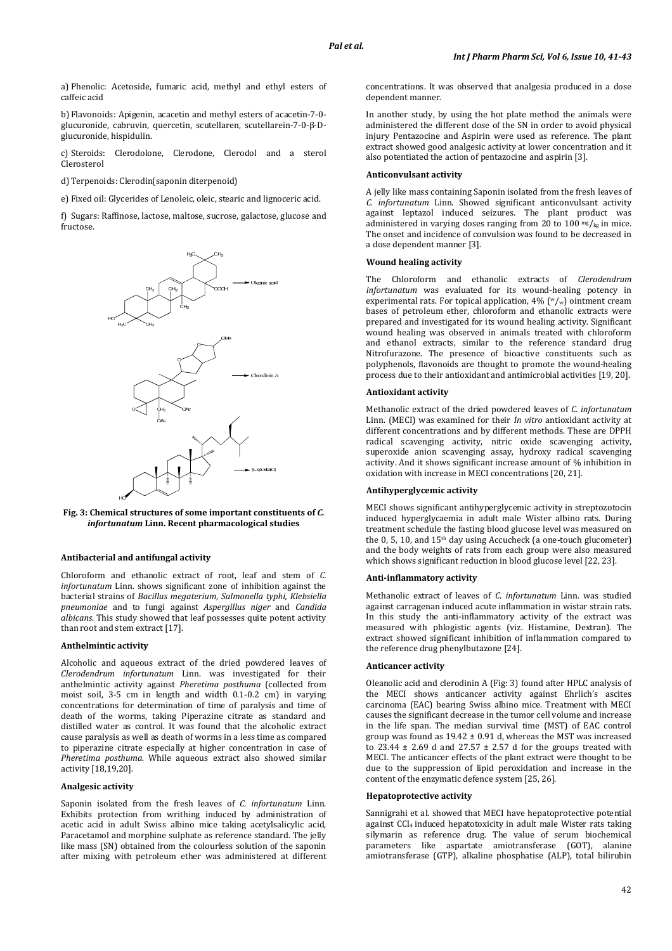a) Phenolic: Acetoside, fumaric acid, methyl and ethyl esters of caffeic acid

b) Flavonoids: Apigenin, acacetin and methyl esters of acacetin-7-0 glucuronide, cabruvin, quercetin, scutellaren, scutellarein-7-0-β-Dglucuronide, hispidulin.

c) Steroids: Clerodolone, Clerodone, Clerodol and a sterol Clerosterol

d) Terpenoids: Clerodin(saponin diterpenoid)

e) Fixed oil: Glycerides of Lenoleic, oleic, stearic and lignoceric acid.

f) Sugars: Raffinose, lactose, maltose, sucrose, galactose, glucose and fructose.



### **Fig. 3: Chemical structures of some important constituents of** *C. infortunatum* **Linn. Recent pharmacological studies**

#### **Antibacterial and antifungal activity**

Chloroform and ethanolic extract of root, leaf and stem of *C. infortunatum* Linn. shows significant zone of inhibition against the bacterial strains of *Bacillus megaterium*, *Salmonella typhi, Klebsiella pneumoniae* and to fungi against *Aspergillus niger* and *Candida albicans.* This study showed that leaf possesses quite potent activity than root and stem extract [17].

#### **Anthelmintic activity**

Alcoholic and aqueous extract of the dried powdered leaves of *Clerodendrum infortunatum* Linn. was investigated for their anthelmintic activity against *Pheretima posthuma* (collected from moist soil, 3-5 cm in length and width 0.1-0.2 cm) in varying concentrations for determination of time of paralysis and time of death of the worms, taking Piperazine citrate as standard and distilled water as control. It was found that the alcoholic extract cause paralysis as well as death of worms in a less time as compared to piperazine citrate especially at higher concentration in case of *Pheretima posthuma*. While aqueous extract also showed similar activity [18,19,20].

## **Analgesic activity**

Saponin isolated from the fresh leaves of *C. infortunatum* Linn. Exhibits protection from writhing induced by administration of acetic acid in adult Swiss albino mice taking acetylsalicylic acid, Paracetamol and morphine sulphate as reference standard. The jelly like mass (SN) obtained from the colourless solution of the saponin after mixing with petroleum ether was administered at different

concentrations. It was observed that analgesia produced in a dose dependent manner.

In another study, by using the hot plate method the animals were administered the different dose of the SN in order to avoid physical injury Pentazocine and Aspirin were used as reference. The plant extract showed good analgesic activity at lower concentration and it also potentiated the action of pentazocine and aspirin [3].

## **Anticonvulsant activity**

A jelly like mass containing Saponin isolated from the fresh leaves of *C. infortunatum* Linn. Showed significant anticonvulsant activity against leptazol induced seizures. The plant product was administered in varying doses ranging from 20 to 100  $\frac{mg}{kg}$  in mice. The onset and incidence of convulsion was found to be decreased in a dose dependent manner [3].

#### **Wound healing activity**

The Chloroform and ethanolic extracts of *Clerodendrum infortunatum* was evaluated for its wound-healing potency in experimental rats. For topical application,  $4\%$  ( $\frac{w}{w}$ ) ointment cream bases of petroleum ether, chloroform and ethanolic extracts were prepared and investigated for its wound healing activity. Significant wound healing was observed in animals treated with chloroform and ethanol extracts, similar to the reference standard drug Nitrofurazone. The presence of bioactive constituents such as polyphenols, flavonoids are thought to promote the wound-healing process due to their antioxidant and antimicrobial activities [19, 20].

#### **Antioxidant activity**

Methanolic extract of the dried powdered leaves of *C. infortunatum* Linn. (MECI) was examined for their *In vitro* antioxidant activity at different concentrations and by different methods. These are DPPH radical scavenging activity, nitric oxide scavenging activity, superoxide anion scavenging assay, hydroxy radical scavenging activity. And it shows significant increase amount of % inhibition in oxidation with increase in MECI concentrations [20, 21].

## **Antihyperglycemic activity**

MECI shows significant antihyperglycemic activity in streptozotocin induced hyperglycaemia in adult male Wister albino rats. During treatment schedule the fasting blood glucose level was measured on the 0, 5, 10, and  $15<sup>th</sup>$  day using Accucheck (a one-touch glucometer) and the body weights of rats from each group were also measured which shows significant reduction in blood glucose level [22, 23].

#### **Anti-inflammatory activity**

Methanolic extract of leaves of *C. infortunatum* Linn. was studied against carragenan induced acute inflammation in wistar strain rats. In this study the anti-inflammatory activity of the extract was measured with phlogistic agents (viz. Histamine, Dextran). The extract showed significant inhibition of inflammation compared to the reference drug phenylbutazone [24].

## **Anticancer activity**

Oleanolic acid and clerodinin A (Fig: 3) found after HPLC analysis of the MECI shows anticancer activity against Ehrlich's ascites carcinoma (EAC) bearing Swiss albino mice. Treatment with MECI causes the significant decrease in the tumor cell volume and increase in the life span. The median survival time (MST) of EAC control group was found as 19.42 ± 0.91 d, whereas the MST was increased to 23.44  $\pm$  2.69 d and 27.57  $\pm$  2.57 d for the groups treated with MECI. The anticancer effects of the plant extract were thought to be due to the suppression of lipid peroxidation and increase in the content of the enzymatic defence system [25, 26].

## **Hepatoprotective activity**

Sannigrahi et al. showed that MECI have hepatoprotective potential against  $CCl<sub>4</sub>$  induced hepatotoxicity in adult male Wister rats taking silymarin as reference drug. The value of serum biochemical parameters like aspartate amiotransferase (GOT), alanine amiotransferase (GTP), alkaline phosphatise (ALP), total bilirubin